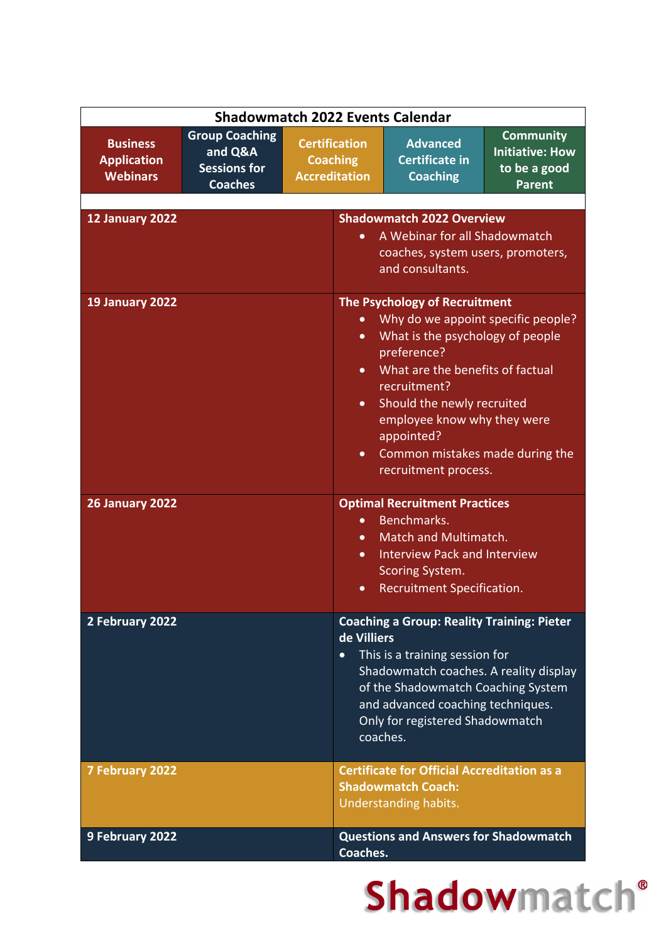|                                                          |                                                                           | <b>Shadowmatch 2022 Events Calendar</b>                         |                                                                                                                                                                                                                                                                                                                  |                                                                             |
|----------------------------------------------------------|---------------------------------------------------------------------------|-----------------------------------------------------------------|------------------------------------------------------------------------------------------------------------------------------------------------------------------------------------------------------------------------------------------------------------------------------------------------------------------|-----------------------------------------------------------------------------|
| <b>Business</b><br><b>Application</b><br><b>Webinars</b> | <b>Group Coaching</b><br>and Q&A<br><b>Sessions for</b><br><b>Coaches</b> | <b>Certification</b><br><b>Coaching</b><br><b>Accreditation</b> | <b>Advanced</b><br><b>Certificate in</b><br><b>Coaching</b>                                                                                                                                                                                                                                                      | <b>Community</b><br><b>Initiative: How</b><br>to be a good<br><b>Parent</b> |
| 12 January 2022                                          |                                                                           |                                                                 | <b>Shadowmatch 2022 Overview</b>                                                                                                                                                                                                                                                                                 |                                                                             |
|                                                          |                                                                           | $\bullet$                                                       | A Webinar for all Shadowmatch<br>coaches, system users, promoters,<br>and consultants.                                                                                                                                                                                                                           |                                                                             |
| 19 January 2022                                          |                                                                           | $\bullet$<br>$\bullet$<br>$\bullet$<br>$\bullet$                | The Psychology of Recruitment<br>Why do we appoint specific people?<br>What is the psychology of people<br>preference?<br>What are the benefits of factual<br>recruitment?<br>Should the newly recruited<br>employee know why they were<br>appointed?<br>Common mistakes made during the<br>recruitment process. |                                                                             |
| <b>26 January 2022</b>                                   |                                                                           | $\bullet$<br>$\bullet$<br>$\bullet$<br>$\bullet$                | <b>Optimal Recruitment Practices</b><br>Benchmarks.<br>Match and Multimatch.<br><b>Interview Pack and Interview</b><br>Scoring System.<br>Recruitment Specification.                                                                                                                                             |                                                                             |
| 2 February 2022                                          |                                                                           | de Villiers<br>$\bullet$                                        | <b>Coaching a Group: Reality Training: Pieter</b><br>This is a training session for<br>Shadowmatch coaches. A reality display<br>of the Shadowmatch Coaching System<br>and advanced coaching techniques.<br>Only for registered Shadowmatch<br>coaches.                                                          |                                                                             |
| <b>7 February 2022</b>                                   |                                                                           |                                                                 | <b>Certificate for Official Accreditation as a</b><br><b>Shadowmatch Coach:</b><br>Understanding habits.                                                                                                                                                                                                         |                                                                             |
| 9 February 2022                                          |                                                                           | Coaches.                                                        | <b>Questions and Answers for Shadowmatch</b>                                                                                                                                                                                                                                                                     |                                                                             |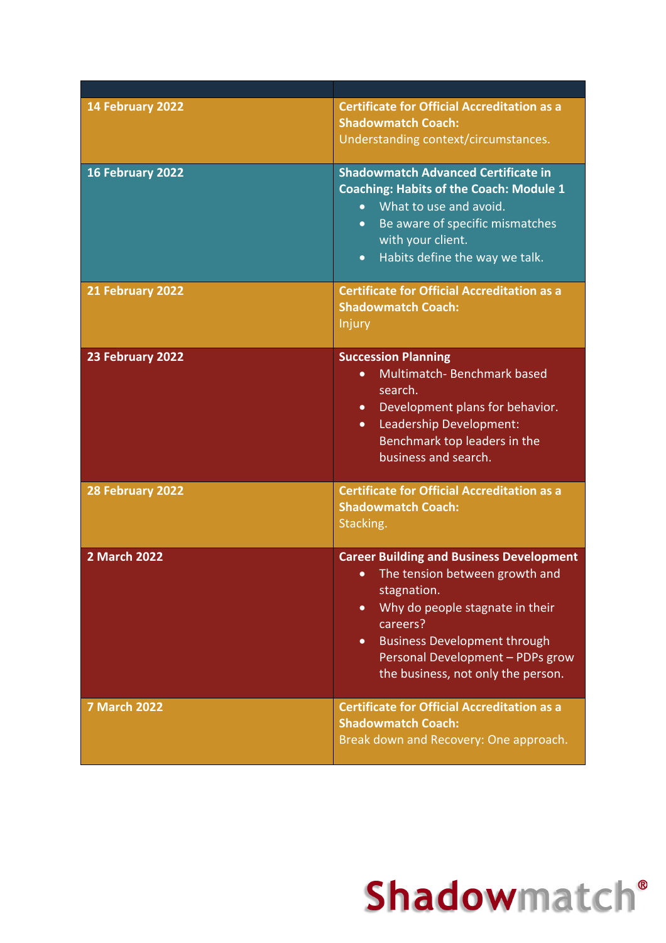| 14 February 2022    | <b>Certificate for Official Accreditation as a</b><br><b>Shadowmatch Coach:</b><br>Understanding context/circumstances.                                                                                                                                                                                 |
|---------------------|---------------------------------------------------------------------------------------------------------------------------------------------------------------------------------------------------------------------------------------------------------------------------------------------------------|
| 16 February 2022    | <b>Shadowmatch Advanced Certificate in</b><br><b>Coaching: Habits of the Coach: Module 1</b><br>What to use and avoid.<br>$\bullet$<br>Be aware of specific mismatches<br>$\bullet$<br>with your client.<br>Habits define the way we talk.<br>$\bullet$                                                 |
| 21 February 2022    | <b>Certificate for Official Accreditation as a</b><br><b>Shadowmatch Coach:</b><br>Injury                                                                                                                                                                                                               |
| 23 February 2022    | <b>Succession Planning</b><br>Multimatch-Benchmark based<br>$\bullet$<br>search.<br>Development plans for behavior.<br>$\bullet$<br>Leadership Development:<br>$\bullet$<br>Benchmark top leaders in the<br>business and search.                                                                        |
| 28 February 2022    | <b>Certificate for Official Accreditation as a</b><br><b>Shadowmatch Coach:</b><br>Stacking.                                                                                                                                                                                                            |
| <b>2 March 2022</b> | <b>Career Building and Business Development</b><br>The tension between growth and<br>$\bullet$<br>stagnation.<br>Why do people stagnate in their<br>$\bullet$<br>careers?<br><b>Business Development through</b><br>$\bullet$<br>Personal Development - PDPs grow<br>the business, not only the person. |
| <b>7 March 2022</b> | <b>Certificate for Official Accreditation as a</b><br><b>Shadowmatch Coach:</b><br>Break down and Recovery: One approach.                                                                                                                                                                               |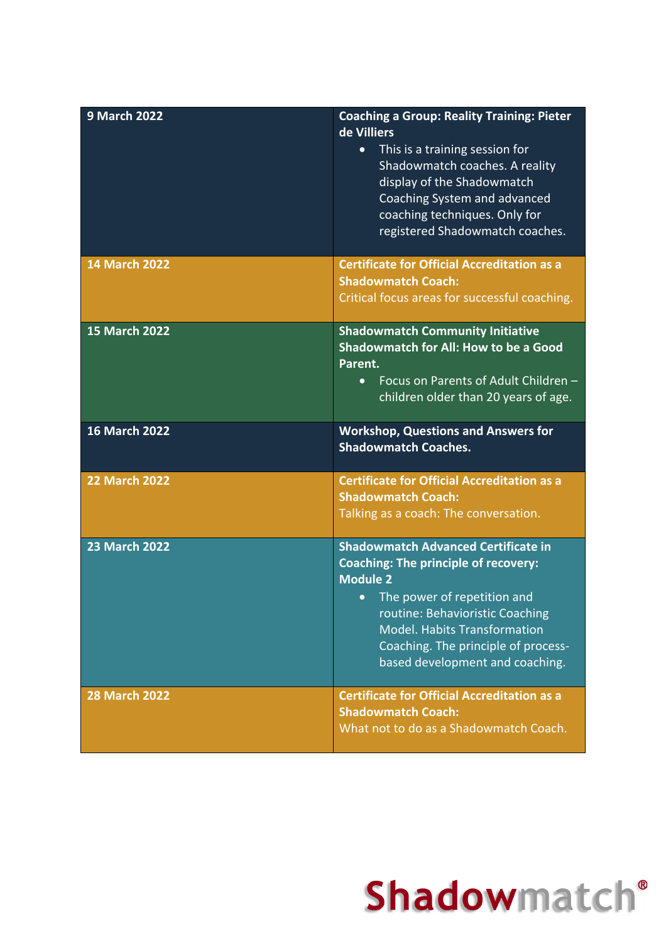| <b>9 March 2022</b>  | <b>Coaching a Group: Reality Training: Pieter</b><br>de Villiers<br>This is a training session for<br>$\bullet$<br>Shadowmatch coaches. A reality<br>display of the Shadowmatch<br>Coaching System and advanced<br>coaching techniques. Only for<br>registered Shadowmatch coaches.                          |
|----------------------|--------------------------------------------------------------------------------------------------------------------------------------------------------------------------------------------------------------------------------------------------------------------------------------------------------------|
| <b>14 March 2022</b> | <b>Certificate for Official Accreditation as a</b><br><b>Shadowmatch Coach:</b><br>Critical focus areas for successful coaching.                                                                                                                                                                             |
| <b>15 March 2022</b> | <b>Shadowmatch Community Initiative</b><br><b>Shadowmatch for All: How to be a Good</b><br>Parent.<br>Focus on Parents of Adult Children -<br>$\bullet$<br>children older than 20 years of age.                                                                                                              |
| <b>16 March 2022</b> | <b>Workshop, Questions and Answers for</b><br><b>Shadowmatch Coaches.</b>                                                                                                                                                                                                                                    |
| <b>22 March 2022</b> | <b>Certificate for Official Accreditation as a</b><br><b>Shadowmatch Coach:</b><br>Talking as a coach: The conversation.                                                                                                                                                                                     |
| <b>23 March 2022</b> | <b>Shadowmatch Advanced Certificate in</b><br><b>Coaching: The principle of recovery:</b><br><b>Module 2</b><br>The power of repetition and<br>$\bullet$<br>routine: Behavioristic Coaching<br><b>Model. Habits Transformation</b><br>Coaching. The principle of process-<br>based development and coaching. |
| <b>28 March 2022</b> | <b>Certificate for Official Accreditation as a</b><br><b>Shadowmatch Coach:</b><br>What not to do as a Shadowmatch Coach.                                                                                                                                                                                    |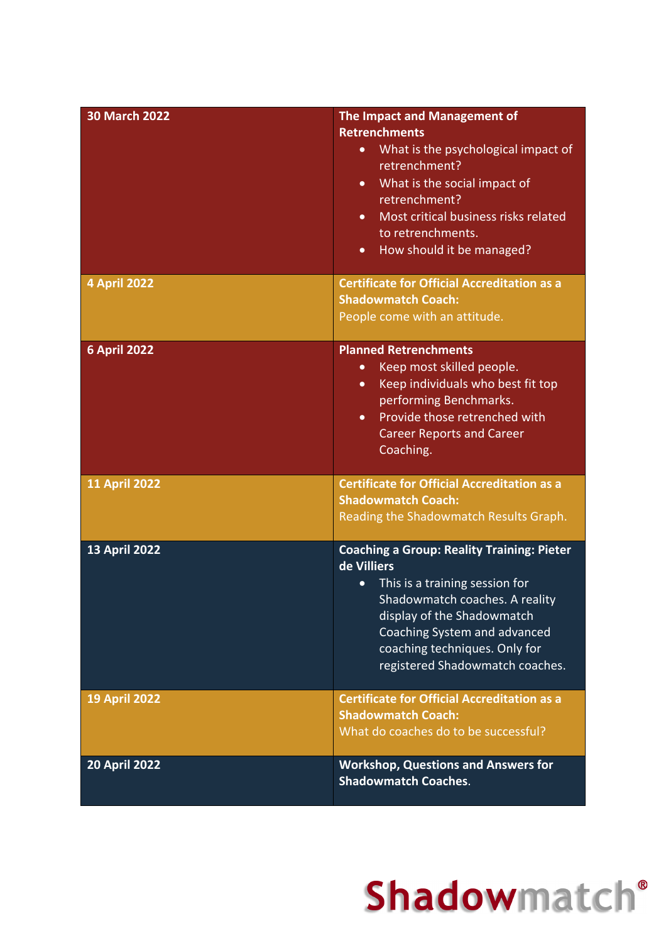| <b>30 March 2022</b> | The Impact and Management of<br><b>Retrenchments</b><br>What is the psychological impact of<br>$\bullet$<br>retrenchment?<br>What is the social impact of<br>$\bullet$<br>retrenchment?<br>Most critical business risks related<br>$\bullet$<br>to retrenchments.<br>How should it be managed?<br>$\bullet$ |
|----------------------|-------------------------------------------------------------------------------------------------------------------------------------------------------------------------------------------------------------------------------------------------------------------------------------------------------------|
| <b>4 April 2022</b>  | <b>Certificate for Official Accreditation as a</b><br><b>Shadowmatch Coach:</b><br>People come with an attitude.                                                                                                                                                                                            |
| <b>6 April 2022</b>  | <b>Planned Retrenchments</b><br>Keep most skilled people.<br>$\bullet$<br>Keep individuals who best fit top<br>$\bullet$<br>performing Benchmarks.<br>Provide those retrenched with<br>$\bullet$<br><b>Career Reports and Career</b><br>Coaching.                                                           |
| <b>11 April 2022</b> | <b>Certificate for Official Accreditation as a</b><br><b>Shadowmatch Coach:</b><br>Reading the Shadowmatch Results Graph.                                                                                                                                                                                   |
| <b>13 April 2022</b> | <b>Coaching a Group: Reality Training: Pieter</b><br>de Villiers<br>This is a training session for<br>$\bullet$<br>Shadowmatch coaches. A reality<br>display of the Shadowmatch<br>Coaching System and advanced<br>coaching techniques. Only for<br>registered Shadowmatch coaches.                         |
| <b>19 April 2022</b> | <b>Certificate for Official Accreditation as a</b><br><b>Shadowmatch Coach:</b><br>What do coaches do to be successful?                                                                                                                                                                                     |
| <b>20 April 2022</b> | <b>Workshop, Questions and Answers for</b><br><b>Shadowmatch Coaches.</b>                                                                                                                                                                                                                                   |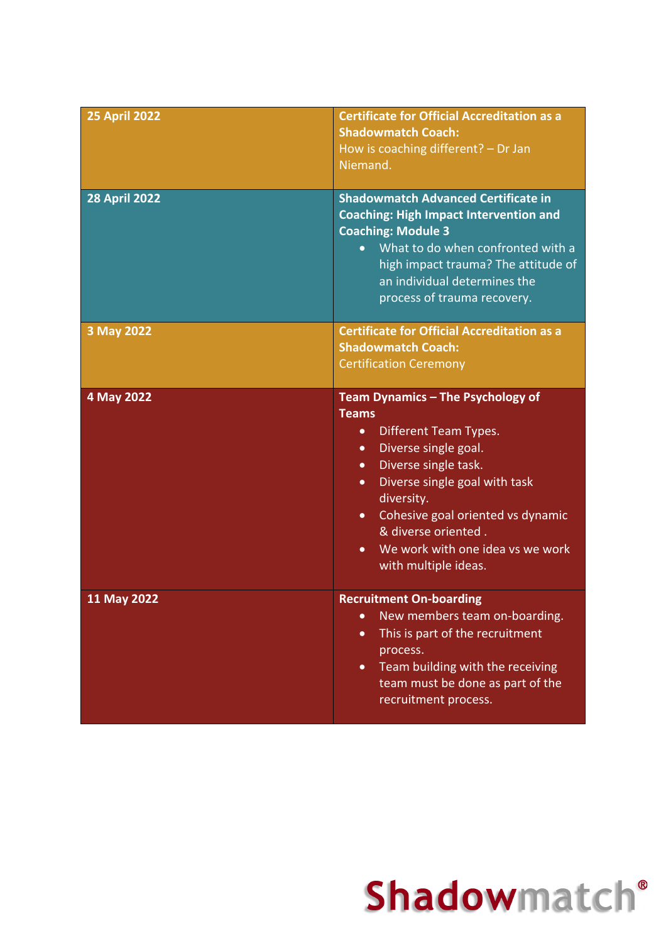| <b>25 April 2022</b> | <b>Certificate for Official Accreditation as a</b><br><b>Shadowmatch Coach:</b><br>How is coaching different? - Dr Jan<br>Niemand.                                                                                                                                                                                                                                              |
|----------------------|---------------------------------------------------------------------------------------------------------------------------------------------------------------------------------------------------------------------------------------------------------------------------------------------------------------------------------------------------------------------------------|
| <b>28 April 2022</b> | <b>Shadowmatch Advanced Certificate in</b><br><b>Coaching: High Impact Intervention and</b><br><b>Coaching: Module 3</b><br>What to do when confronted with a<br>$\bullet$<br>high impact trauma? The attitude of<br>an individual determines the<br>process of trauma recovery.                                                                                                |
| 3 May 2022           | <b>Certificate for Official Accreditation as a</b><br><b>Shadowmatch Coach:</b><br><b>Certification Ceremony</b>                                                                                                                                                                                                                                                                |
| 4 May 2022           | Team Dynamics - The Psychology of<br><b>Teams</b><br>Different Team Types.<br>$\bullet$<br>Diverse single goal.<br>$\bullet$<br>Diverse single task.<br>$\bullet$<br>Diverse single goal with task<br>$\bullet$<br>diversity.<br>Cohesive goal oriented vs dynamic<br>$\bullet$<br>& diverse oriented.<br>We work with one idea vs we work<br>$\bullet$<br>with multiple ideas. |
| 11 May 2022          | <b>Recruitment On-boarding</b><br>New members team on-boarding.<br>$\bullet$<br>This is part of the recruitment<br>$\bullet$<br>process.<br>Team building with the receiving<br>$\bullet$<br>team must be done as part of the<br>recruitment process.                                                                                                                           |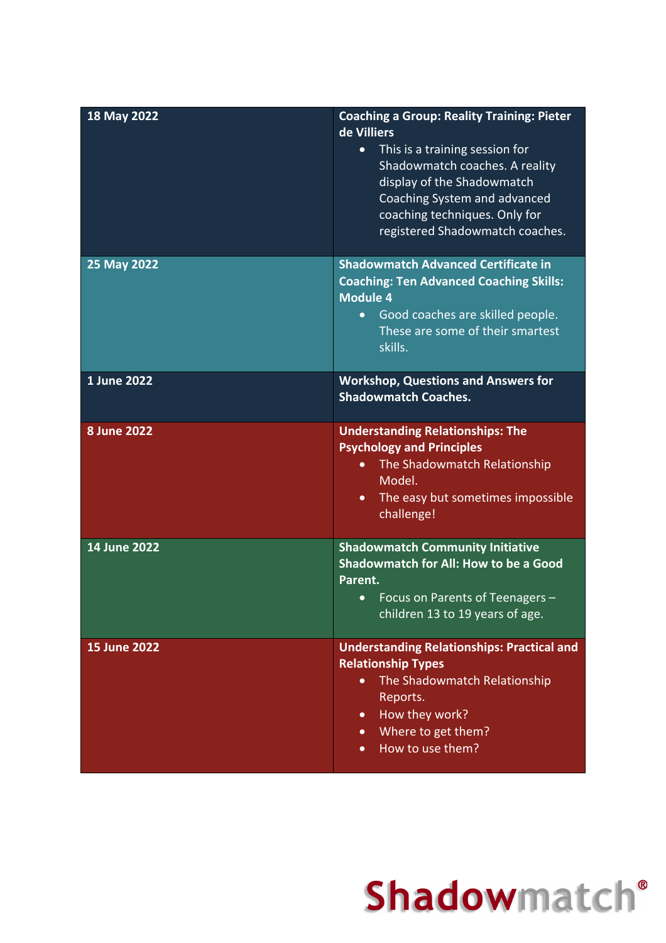| 18 May 2022         | <b>Coaching a Group: Reality Training: Pieter</b><br>de Villiers<br>This is a training session for<br>$\bullet$<br>Shadowmatch coaches. A reality<br>display of the Shadowmatch<br>Coaching System and advanced<br>coaching techniques. Only for<br>registered Shadowmatch coaches. |
|---------------------|-------------------------------------------------------------------------------------------------------------------------------------------------------------------------------------------------------------------------------------------------------------------------------------|
| 25 May 2022         | <b>Shadowmatch Advanced Certificate in</b><br><b>Coaching: Ten Advanced Coaching Skills:</b><br><b>Module 4</b><br>Good coaches are skilled people.<br>$\bullet$<br>These are some of their smartest<br>skills.                                                                     |
| 1 June 2022         | <b>Workshop, Questions and Answers for</b><br><b>Shadowmatch Coaches.</b>                                                                                                                                                                                                           |
| <b>8 June 2022</b>  | <b>Understanding Relationships: The</b><br><b>Psychology and Principles</b><br>The Shadowmatch Relationship<br>$\bullet$<br>Model.<br>The easy but sometimes impossible<br>$\bullet$<br>challenge!                                                                                  |
| 14 June 2022        | <b>Shadowmatch Community Initiative</b><br><b>Shadowmatch for All: How to be a Good</b><br>Parent.<br>Focus on Parents of Teenagers -<br>$\bullet$<br>children 13 to 19 years of age.                                                                                               |
| <b>15 June 2022</b> | <b>Understanding Relationships: Practical and</b><br><b>Relationship Types</b><br>The Shadowmatch Relationship<br>Reports.<br>How they work?<br>$\bullet$<br>Where to get them?<br>$\bullet$<br>How to use them?<br>$\bullet$                                                       |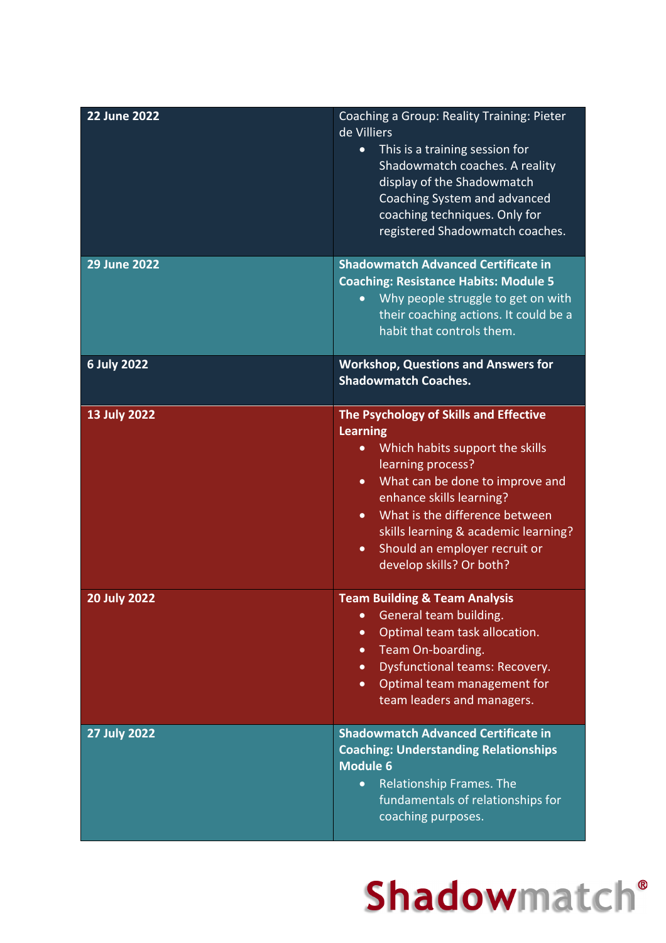| <b>22 June 2022</b> | Coaching a Group: Reality Training: Pieter<br>de Villiers<br>This is a training session for<br>Shadowmatch coaches. A reality<br>display of the Shadowmatch<br>Coaching System and advanced<br>coaching techniques. Only for<br>registered Shadowmatch coaches.                                                                                                             |
|---------------------|-----------------------------------------------------------------------------------------------------------------------------------------------------------------------------------------------------------------------------------------------------------------------------------------------------------------------------------------------------------------------------|
| <b>29 June 2022</b> | <b>Shadowmatch Advanced Certificate in</b><br><b>Coaching: Resistance Habits: Module 5</b><br>Why people struggle to get on with<br>their coaching actions. It could be a<br>habit that controls them.                                                                                                                                                                      |
| <b>6 July 2022</b>  | <b>Workshop, Questions and Answers for</b><br><b>Shadowmatch Coaches.</b>                                                                                                                                                                                                                                                                                                   |
| <b>13 July 2022</b> | The Psychology of Skills and Effective<br><b>Learning</b><br>Which habits support the skills<br>$\bullet$<br>learning process?<br>What can be done to improve and<br>$\bullet$<br>enhance skills learning?<br>What is the difference between<br>$\bullet$<br>skills learning & academic learning?<br>Should an employer recruit or<br>$\bullet$<br>develop skills? Or both? |
| <b>20 July 2022</b> | <b>Team Building &amp; Team Analysis</b><br>General team building.<br>$\bullet$<br>Optimal team task allocation.<br>$\bullet$<br>Team On-boarding.<br>$\bullet$<br>Dysfunctional teams: Recovery.<br>$\bullet$<br>Optimal team management for<br>$\bullet$<br>team leaders and managers.                                                                                    |
| <b>27 July 2022</b> | <b>Shadowmatch Advanced Certificate in</b><br><b>Coaching: Understanding Relationships</b><br><b>Module 6</b><br>Relationship Frames. The<br>$\bullet$<br>fundamentals of relationships for<br>coaching purposes.                                                                                                                                                           |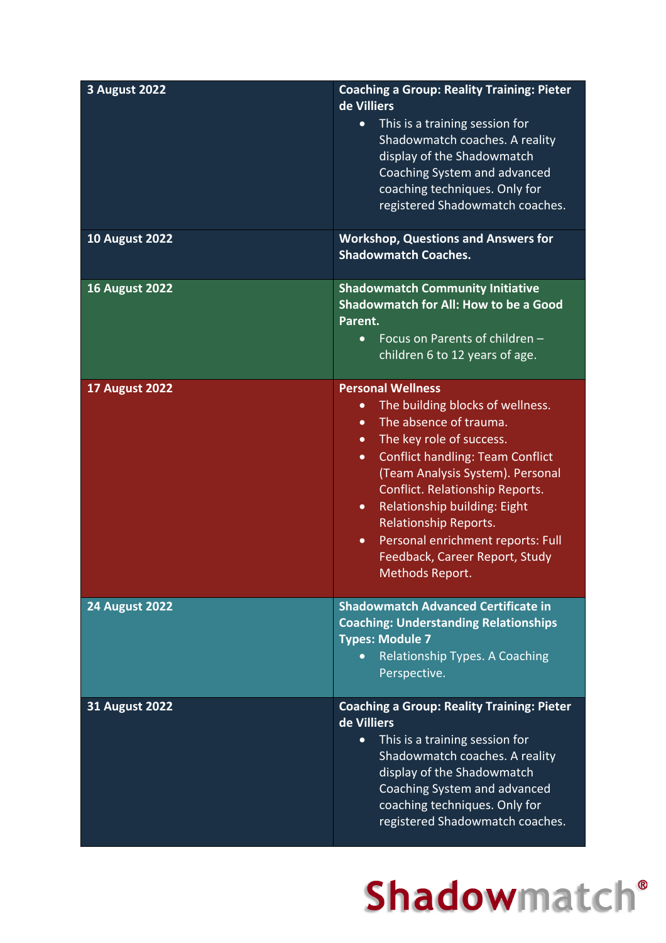| <b>3 August 2022</b>  | <b>Coaching a Group: Reality Training: Pieter</b><br>de Villiers<br>This is a training session for<br>$\bullet$<br>Shadowmatch coaches. A reality<br>display of the Shadowmatch<br>Coaching System and advanced<br>coaching techniques. Only for<br>registered Shadowmatch coaches.                                                                                                                                                                                          |
|-----------------------|------------------------------------------------------------------------------------------------------------------------------------------------------------------------------------------------------------------------------------------------------------------------------------------------------------------------------------------------------------------------------------------------------------------------------------------------------------------------------|
| <b>10 August 2022</b> | <b>Workshop, Questions and Answers for</b><br><b>Shadowmatch Coaches.</b>                                                                                                                                                                                                                                                                                                                                                                                                    |
| <b>16 August 2022</b> | <b>Shadowmatch Community Initiative</b><br><b>Shadowmatch for All: How to be a Good</b><br>Parent.<br>Focus on Parents of children -<br>$\bullet$<br>children 6 to 12 years of age.                                                                                                                                                                                                                                                                                          |
| <b>17 August 2022</b> | <b>Personal Wellness</b><br>The building blocks of wellness.<br>$\bullet$<br>The absence of trauma.<br>$\bullet$<br>The key role of success.<br>$\bullet$<br><b>Conflict handling: Team Conflict</b><br>$\bullet$<br>(Team Analysis System). Personal<br>Conflict. Relationship Reports.<br>Relationship building: Eight<br>$\bullet$<br><b>Relationship Reports.</b><br>Personal enrichment reports: Full<br>$\bullet$<br>Feedback, Career Report, Study<br>Methods Report. |
| <b>24 August 2022</b> | <b>Shadowmatch Advanced Certificate in</b><br><b>Coaching: Understanding Relationships</b><br><b>Types: Module 7</b><br>Relationship Types. A Coaching<br>$\bullet$<br>Perspective.                                                                                                                                                                                                                                                                                          |
| <b>31 August 2022</b> | <b>Coaching a Group: Reality Training: Pieter</b><br>de Villiers<br>This is a training session for<br>$\bullet$<br>Shadowmatch coaches. A reality<br>display of the Shadowmatch<br>Coaching System and advanced<br>coaching techniques. Only for<br>registered Shadowmatch coaches.                                                                                                                                                                                          |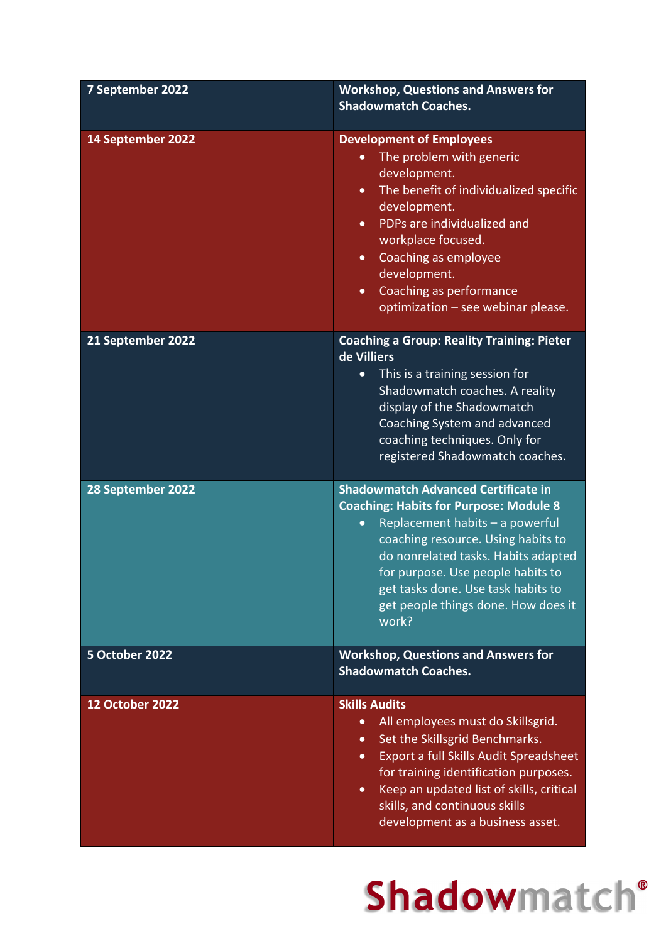| 7 September 2022       | <b>Workshop, Questions and Answers for</b><br><b>Shadowmatch Coaches.</b>                                                                                                                                                                                                                                                                                      |
|------------------------|----------------------------------------------------------------------------------------------------------------------------------------------------------------------------------------------------------------------------------------------------------------------------------------------------------------------------------------------------------------|
| 14 September 2022      | <b>Development of Employees</b><br>The problem with generic<br>development.<br>The benefit of individualized specific<br>$\bullet$<br>development.<br>PDPs are individualized and<br>$\bullet$<br>workplace focused.<br><b>Coaching as employee</b><br>$\bullet$<br>development.<br>Coaching as performance<br>$\bullet$<br>optimization - see webinar please. |
| 21 September 2022      | <b>Coaching a Group: Reality Training: Pieter</b><br>de Villiers<br>This is a training session for<br>$\bullet$<br>Shadowmatch coaches. A reality<br>display of the Shadowmatch<br>Coaching System and advanced<br>coaching techniques. Only for<br>registered Shadowmatch coaches.                                                                            |
| 28 September 2022      | <b>Shadowmatch Advanced Certificate in</b><br><b>Coaching: Habits for Purpose: Module 8</b><br>Replacement habits - a powerful<br>$\bullet$<br>coaching resource. Using habits to<br>do nonrelated tasks. Habits adapted<br>for purpose. Use people habits to<br>get tasks done. Use task habits to<br>get people things done. How does it<br>work?            |
| 5 October 2022         | <b>Workshop, Questions and Answers for</b><br><b>Shadowmatch Coaches.</b>                                                                                                                                                                                                                                                                                      |
| <b>12 October 2022</b> | <b>Skills Audits</b><br>All employees must do Skillsgrid.<br>$\bullet$<br>Set the Skillsgrid Benchmarks.<br>$\bullet$<br>Export a full Skills Audit Spreadsheet<br>$\bullet$<br>for training identification purposes.<br>Keep an updated list of skills, critical<br>$\bullet$<br>skills, and continuous skills<br>development as a business asset.            |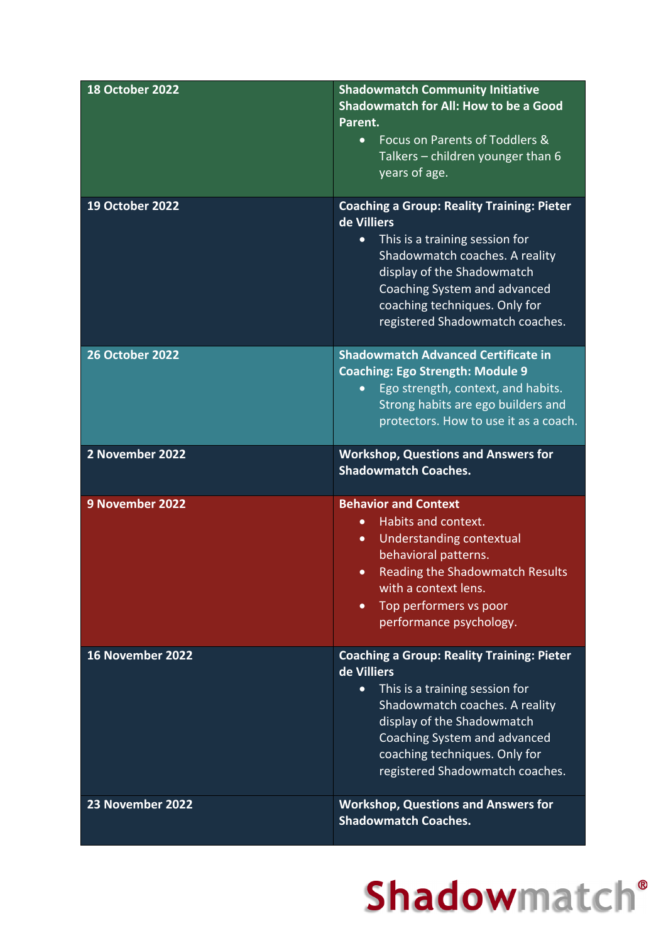| <b>18 October 2022</b> | <b>Shadowmatch Community Initiative</b><br><b>Shadowmatch for All: How to be a Good</b><br>Parent.<br>Focus on Parents of Toddlers &<br>$\bullet$<br>Talkers - children younger than 6<br>years of age.                                                                             |
|------------------------|-------------------------------------------------------------------------------------------------------------------------------------------------------------------------------------------------------------------------------------------------------------------------------------|
| 19 October 2022        | <b>Coaching a Group: Reality Training: Pieter</b><br>de Villiers<br>This is a training session for<br>$\bullet$<br>Shadowmatch coaches. A reality<br>display of the Shadowmatch<br>Coaching System and advanced<br>coaching techniques. Only for<br>registered Shadowmatch coaches. |
| <b>26 October 2022</b> | <b>Shadowmatch Advanced Certificate in</b><br><b>Coaching: Ego Strength: Module 9</b><br>Ego strength, context, and habits.<br>$\bullet$<br>Strong habits are ego builders and<br>protectors. How to use it as a coach.                                                             |
| 2 November 2022        | <b>Workshop, Questions and Answers for</b><br><b>Shadowmatch Coaches.</b>                                                                                                                                                                                                           |
| 9 November 2022        | <b>Behavior and Context</b><br>Habits and context.<br>$\bullet$<br>Understanding contextual<br>$\bullet$<br>behavioral patterns.<br><b>Reading the Shadowmatch Results</b><br>$\bullet$<br>with a context lens.<br>Top performers vs poor<br>$\bullet$<br>performance psychology.   |
| 16 November 2022       | <b>Coaching a Group: Reality Training: Pieter</b><br>de Villiers<br>This is a training session for<br>$\bullet$<br>Shadowmatch coaches. A reality<br>display of the Shadowmatch<br>Coaching System and advanced<br>coaching techniques. Only for<br>registered Shadowmatch coaches. |
| 23 November 2022       | <b>Workshop, Questions and Answers for</b><br><b>Shadowmatch Coaches.</b>                                                                                                                                                                                                           |